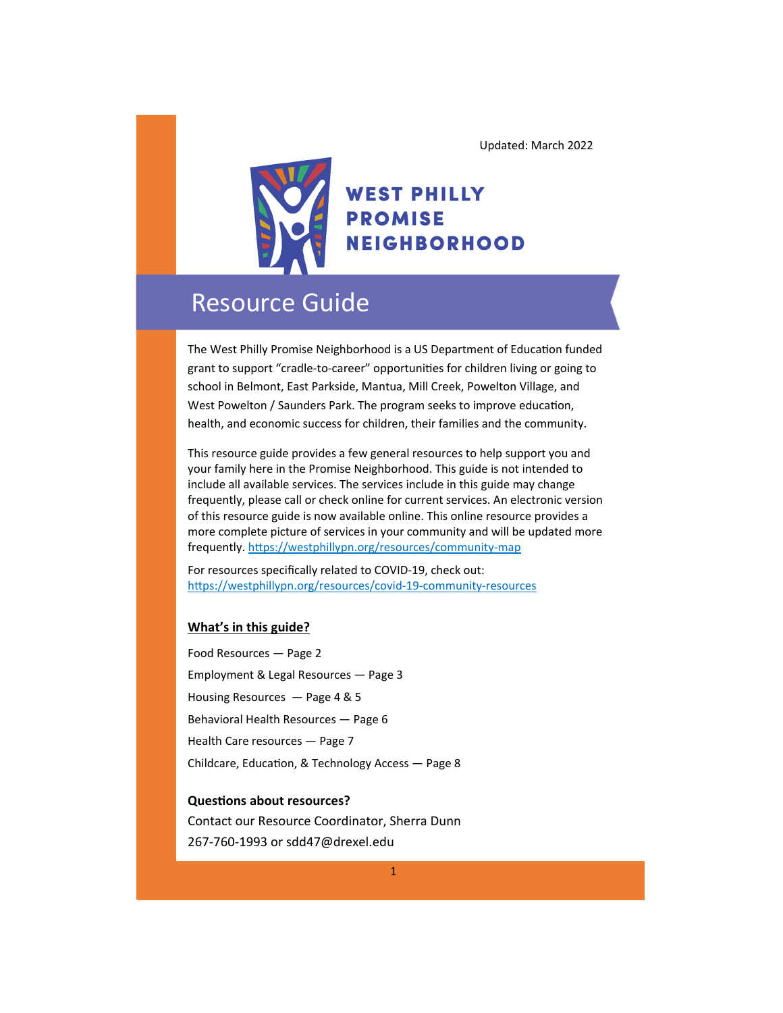

### **WEST PHILLY PROMISE NEIGHBORHOOD**

### Resource Guide

The West Philly Promise Neighborhood is a US Department of Education funded grant to support "cradle-to-career" opportunities for children living or going to school in Belmont, East Parkside, Mantua, Mill Creek, Powelton Village, and West Powelton / Saunders Park. The program seeks to improve education, health, and economic success for children, their families and the community.

This resource guide provides a few general resources to help support you and your family here in the Promise Neighborhood. This guide is not intended to include all available services. The services include in this guide may change frequently, please call or check online for current services. An electronic version of this resource guide is now available online. This online resource provides a more complete picture of services in your community and will be updated more frequently. https://westphillypn.org/resources/community-map

For resources specifically related to COVID‐19, check out: https://westphillypn.org/resources/covid-19-community-resources

#### **What's in this guide?**

Food Resources — Page 2 Employment & Legal Resources — Page 3 Housing Resources — Page 4 & 5 Behavioral Health Resources — Page 6 Health Care resources — Page 7 Childcare, Education, & Technology Access - Page 8

#### **QuesƟons about resources?**

Contact our Resource Coordinator, Sherra Dunn 267‐760‐1993 or sdd47@drexel.edu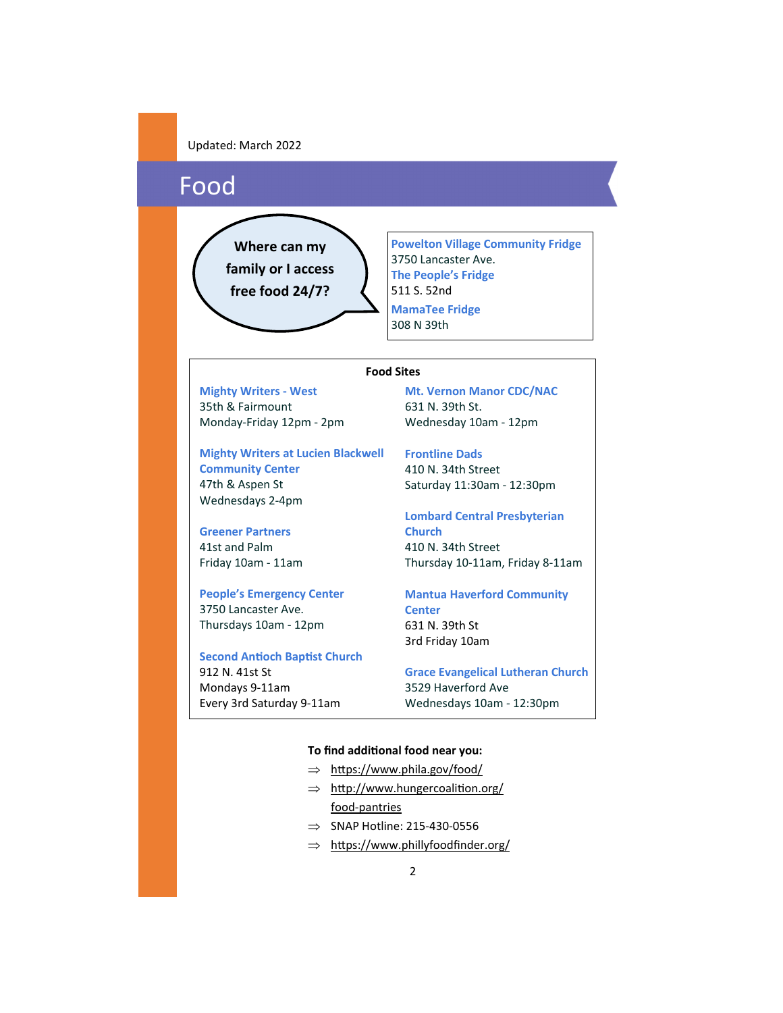### Food

**Where can my family or I access free food 24/7?** 

**Powelton Village Community Fridge**  3750 Lancaster Ave. **The People's Fridge**  511 S. 52nd **MamaTee Fridge** 308 N 39th

#### **Food Sites**

**Mighty Writers ‐ West**  35th & Fairmount Monday‐Friday 12pm ‐ 2pm

**Mighty Writers at Lucien Blackwell Community Center** 47th & Aspen St Wednesdays 2‐4pm

**Greener Partners** 41st and Palm Friday 10am ‐ 11am

**People's Emergency Center**  3750 Lancaster Ave. Thursdays 10am ‐ 12pm

**Second AnƟoch BapƟst Church**  912 N. 41st St Mondays 9‐11am Every 3rd Saturday 9‐11am

**Mt. Vernon Manor CDC/NAC** 631 N. 39th St. Wednesday 10am ‐ 12pm

**Frontline Dads**  410 N. 34th Street

Saturday 11:30am ‐ 12:30pm

**Lombard Central Presbyterian Church**  410 N. 34th Street Thursday 10‐11am, Friday 8‐11am

**Mantua Haverford Community Center**  631 N. 39th St 3rd Friday 10am

**Grace Evangelical Lutheran Church** 3529 Haverford Ave Wednesdays 10am ‐ 12:30pm

#### **To find addiƟonal food near you:**

- $\Rightarrow$  https://www.phila.gov/food/
- $\Rightarrow$  http://www.hungercoalition.org/ food‐pantries
- $\Rightarrow$  SNAP Hotline: 215-430-0556
- $\Rightarrow$  https://www.phillyfoodfinder.org/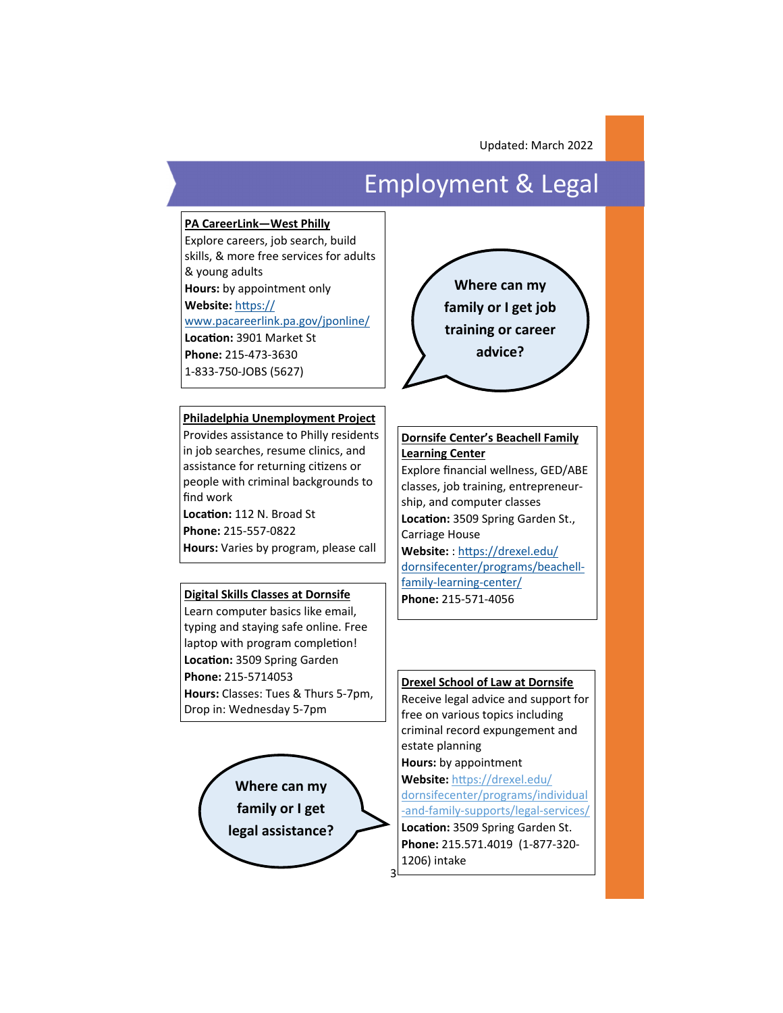# Employment & Legal

#### **PA CareerLink—West Philly**

Explore careers, job search, build skills, & more free services for adults & young adults **Hours:** by appointment only

**Website:** hƩps://

www.pacareerlink.pa.gov/jponline/

**LocaƟon:** 3901 Market St **Phone:** 215‐473‐3630 1‐833‐750‐JOBS (5627)

#### **Philadelphia Unemployment Project**

Provides assistance to Philly residents in job searches, resume clinics, and assistance for returning citizens or people with criminal backgrounds to find work Location: 112 N. Broad St **Phone:** 215‐557‐0822 **Hours:** Varies by program, please call

#### **Digital Skills Classes at Dornsife**

Learn computer basics like email, typing and staying safe online. Free laptop with program completion! **LocaƟon:** 3509 Spring Garden **Phone:** 215‐5714053 **Hours:** Classes: Tues & Thurs 5‐7pm, Drop in: Wednesday 5‐7pm





#### **Dornsife Center's Beachell Family Learning Center**

Explore financial wellness, GED/ABE classes, job training, entrepreneur‐ ship, and computer classes **LocaƟon:** 3509 Spring Garden St., Carriage House **Website:** : hƩps://drexel.edu/ dornsifecenter/programs/beachell‐ family‐learning‐center/ **Phone:** 215‐571‐4056

#### **Drexel School of Law at Dornsife**

Receive legal advice and support for free on various topics including criminal record expungement and estate planning **Hours:** by appointment Website: https://drexel.edu/ dornsifecenter/programs/individual ‐and‐family‐supports/legal‐services/ Location: 3509 Spring Garden St. **Phone:** 215.571.4019 (1‐877‐320‐ 1206) intake

3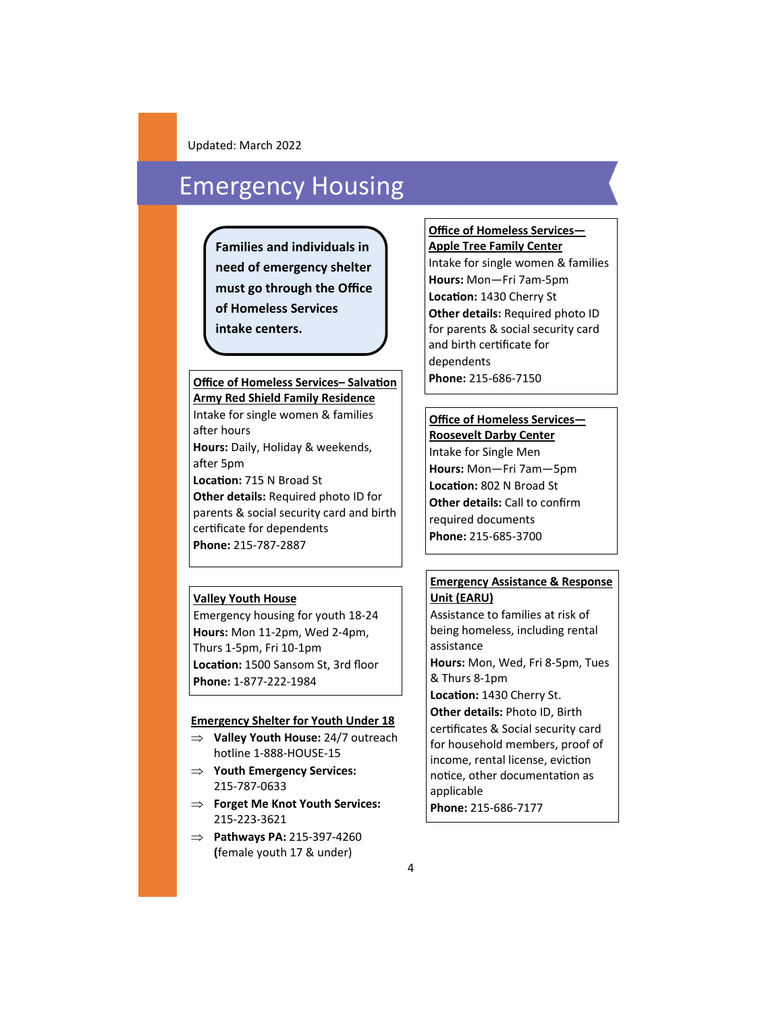## Emergency Housing

**Families and individuals in need of emergency shelter must go through the Office of Homeless Services intake centers.** 

#### **Office of Homeless Services– Salvation** Phone: 215-686-7150 **Army Red Shield Family Residence**

Intake for single women & families after hours

**Hours:** Daily, Holiday & weekends, after 5pm

**LocaƟon:** 715 N Broad St **Other details:** Required photo ID for parents & social security card and birth certificate for dependents **Phone:** 215‐787‐2887

#### **Valley Youth House**

Emergency housing for youth 18‐24 **Hours:** Mon 11‐2pm, Wed 2‐4pm, Thurs 1‐5pm, Fri 10‐1pm **LocaƟon:** 1500 Sansom St, 3rd floor **Phone:** 1‐877‐222‐1984

#### **Emergency Shelter for Youth Under 18**

- **Valley Youth House:** 24/7 outreach hotline 1‐888‐HOUSE‐15
- **Youth Emergency Services:**  215‐787‐0633
- **Forget Me Knot Youth Services:**  215‐223‐3621
- **Pathways PA:** 215‐397‐4260 **(**female youth 17 & under)

**Office of Homeless Services— Apple Tree Family Center** Intake for single women & families **Hours:** Mon—Fri 7am‐5pm **LocaƟon:** 1430 Cherry St **Other details:** Required photo ID for parents & social security card and birth certificate for dependents

### **Office of Homeless Services—**

**Roosevelt Darby Center**  Intake for Single Men **Hours:** Mon—Fri 7am—5pm **LocaƟon:** 802 N Broad St **Other details:** Call to confirm required documents **Phone:** 215‐685‐3700

#### **Emergency Assistance & Response Unit (EARU)**

Assistance to families at risk of being homeless, including rental assistance **Hours:** Mon, Wed, Fri 8‐5pm, Tues & Thurs 8‐1pm **LocaƟon:** 1430 Cherry St. **Other details:** Photo ID, Birth certificates & Social security card for household members, proof of

income, rental license, eviction notice, other documentation as applicable

**Phone:** 215‐686‐7177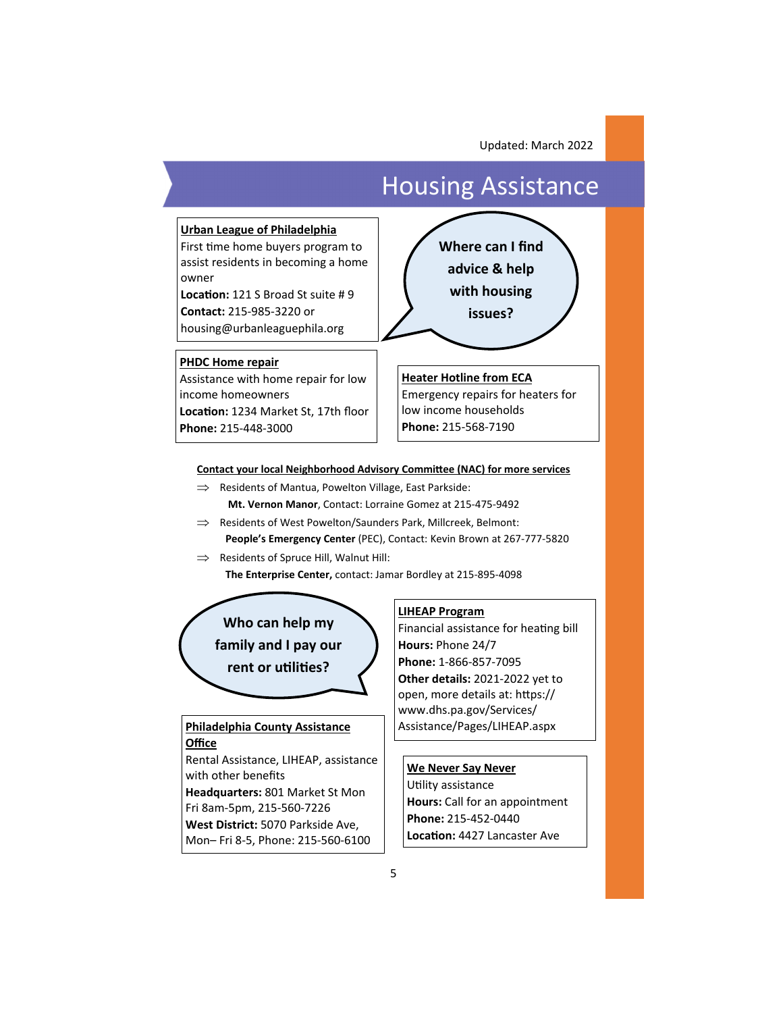## Housing Assistance

#### **Urban League of Philadelphia**

First time home buyers program to assist residents in becoming a home owner

**LocaƟon:** 121 S Broad St suite # 9 **Contact:** 215‐985‐3220 or housing@urbanleaguephila.org

**PHDC Home repair** 

Assistance with home repair for low income homeowners **LocaƟon:** 1234 Market St, 17th floor **Phone:** 215‐448‐3000



**Heater Hotline from ECA**  Emergency repairs for heaters for low income households **Phone:** 215‐568‐7190

#### **Contact your local Neighborhood Advisory Committee (NAC) for more services**

- $\implies$  Residents of Mantua, Powelton Village, East Parkside: **Mt. Vernon Manor**, Contact: Lorraine Gomez at 215‐475‐9492
- $\implies$  Residents of West Powelton/Saunders Park, Millcreek, Belmont: **People's Emergency Center** (PEC), Contact: Kevin Brown at 267‐777‐5820
- $\implies$  Residents of Spruce Hill, Walnut Hill:

 **The Enterprise Center,** contact: Jamar Bordley at 215‐895‐4098

**Who can help my** 

**family and I pay our** 

**rent or uƟliƟes?** 

#### **Philadelphia County Assistance | Assistance/Pages/LIHEAP.aspx Office**

Rental Assistance, LIHEAP, assistance with other benefits **Headquarters:** 801 Market St Mon Fri 8am‐5pm, 215‐560‐7226 **West District:** 5070 Parkside Ave,

Mon– Fri 8‐5, Phone: 215‐560‐6100

#### **LIHEAP Program**

Financial assistance for heating bill **Hours:** Phone 24/7 **Phone:** 1‐866‐857‐7095 **Other details:** 2021‐2022 yet to open, more details at: https:// www.dhs.pa.gov/Services/

#### **We Never Say Never**

Utility assistance **Hours:** Call for an appointment **Phone:** 215‐452‐0440 **LocaƟon:** 4427 Lancaster Ave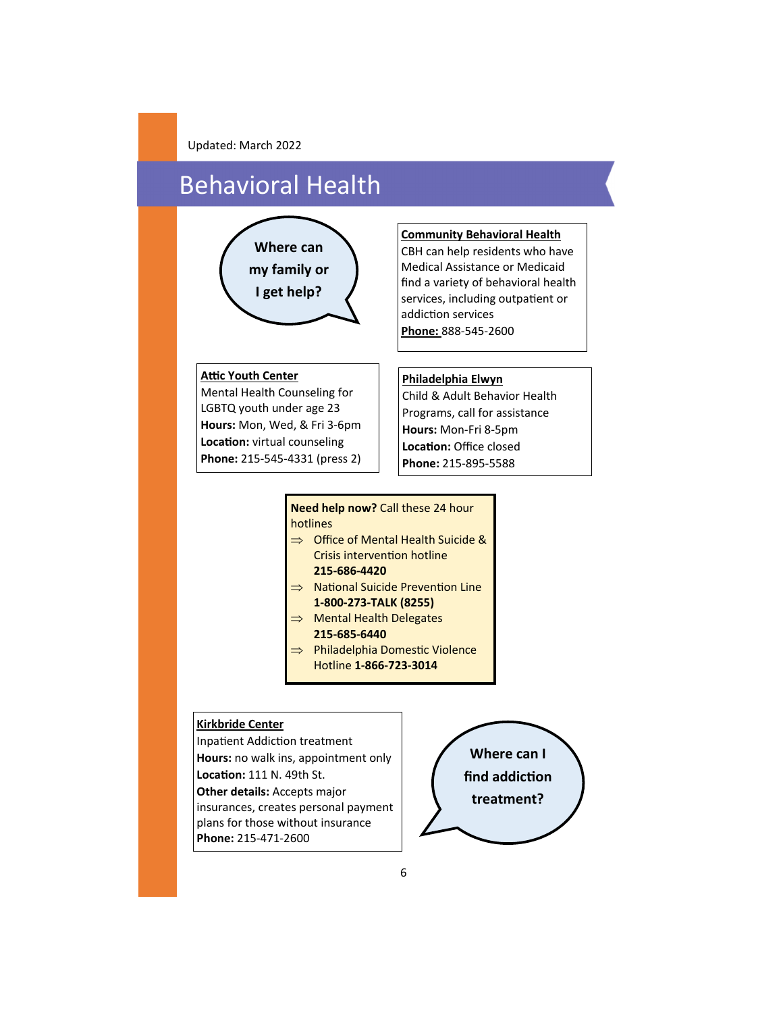# Behavioral Health

# **Where can my family or I get help?**

#### **Community Behavioral Health**

CBH can help residents who have Medical Assistance or Medicaid find a variety of behavioral health services, including outpatient or addiction services **Phone:** 888‐545‐2600

#### **Attic Youth Center**

Mental Health Counseling for LGBTQ youth under age 23 **Hours:** Mon, Wed, & Fri 3‐6pm **Location:** virtual counseling **Phone:** 215‐545‐4331 (press 2)

#### **Philadelphia Elwyn**

Child & Adult Behavior Health Programs, call for assistance **Hours:** Mon‐Fri 8‐5pm **LocaƟon:** Office closed **Phone:** 215‐895‐5588

#### **Need help now?** Call these 24 hour hotlines

- $\implies$  Office of Mental Health Suicide & Crisis intervention hotline **215‐686‐4420**
- $\implies$  National Suicide Prevention Line **1‐800‐273‐TALK (8255)**
- $\implies$  Mental Health Delegates **215‐685‐6440**
- $\Rightarrow$  Philadelphia Domestic Violence Hotline **1‐866‐723‐3014**

#### **Kirkbride Center**

Inpatient Addiction treatment **Hours:** no walk ins, appointment only **LocaƟon:** 111 N. 49th St. **Other details:** Accepts major insurances, creates personal payment plans for those without insurance **Phone:** 215‐471‐2600

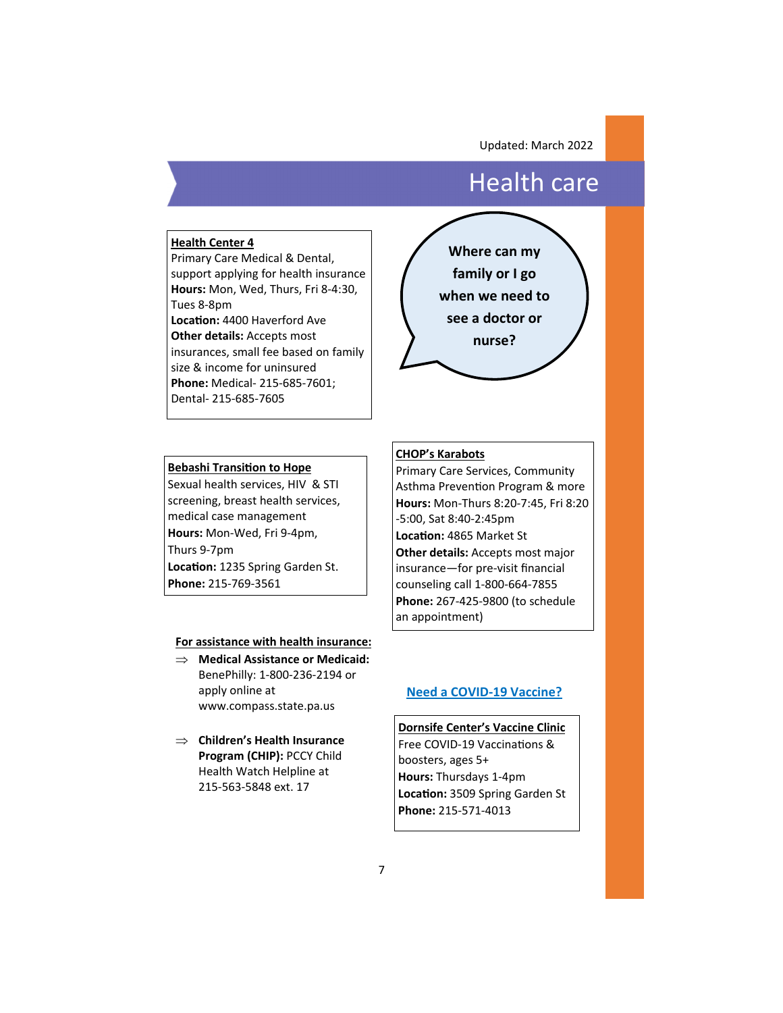### Health care

#### **Health Center 4**

Primary Care Medical & Dental, support applying for health insurance **Hours:** Mon, Wed, Thurs, Fri 8‐4:30, Tues 8‐8pm **LocaƟon:** 4400 Haverford Ave **Other details:** Accepts most insurances, small fee based on family size & income for uninsured **Phone:** Medical‐ 215‐685‐7601; Dental‐ 215‐685‐7605



#### **Bebashi Transition to Hope**

Sexual health services, HIV & STI screening, breast health services, medical case management **Hours:** Mon‐Wed, Fri 9‐4pm, Thurs 9‐7pm Location: 1235 Spring Garden St. **Phone:** 215‐769‐3561

#### **For assistance with health insurance:**

- **Medical Assistance or Medicaid:**  BenePhilly: 1‐800‐236‐2194 or apply online at www.compass.state.pa.us
- **Children's Health Insurance Program (CHIP):** PCCY Child Health Watch Helpline at 215‐563‐5848 ext. 17

#### **CHOP's Karabots**

Primary Care Services, Community Asthma Prevention Program & more **Hours:** Mon‐Thurs 8:20‐7:45, Fri 8:20 ‐5:00, Sat 8:40‐2:45pm **LocaƟon:** 4865 Market St **Other details:** Accepts most major insurance—for pre‐visit financial counseling call 1‐800‐664‐7855 **Phone:** 267‐425‐9800 (to schedule

an appointment)

#### **Need a COVID‐19 Vaccine?**

**Dornsife Center's Vaccine Clinic**  Free COVID-19 Vaccinations & boosters, ages 5+ **Hours:** Thursdays 1‐4pm **LocaƟon:** 3509 Spring Garden St **Phone:** 215‐571‐4013